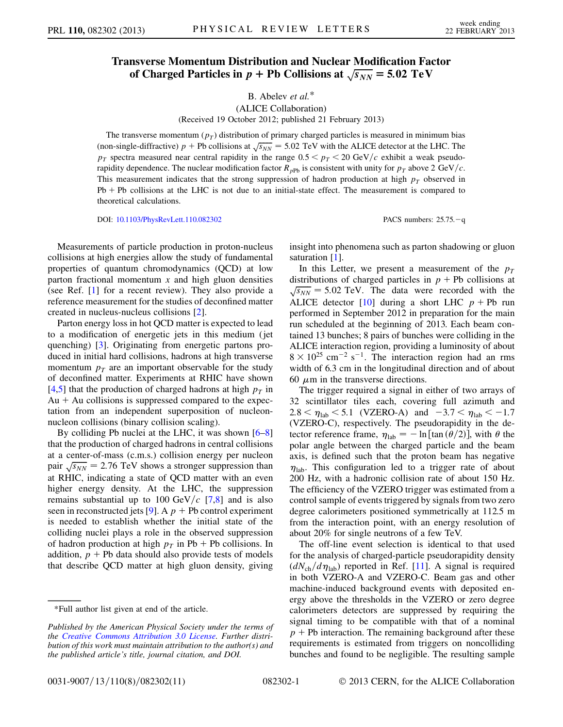## Transverse Momentum Distribution and Nuclear Modification Factor nsverse Momentum Distribution and Nuclear Modification Fa<br>of Charged Particles in  $p$  + Pb Collisions at  $\sqrt{s_{NN}} = 5.02~\rm{TeV}$

## B. Abelev et al.\* (ALICE Collaboration) (Received 19 October 2012; published 21 February 2013)

The transverse momentum  $(p_T)$  distribution of primary charged particles is measured in minimum bias The transverse momentum ( $p_T$ ) ustribution of primary enarged particles is measured in minimum bias<br>(non-single-diffractive)  $p + Pb$  collisions at  $\sqrt{s_{NN}} = 5.02$  TeV with the ALICE detector at the LHC. The  $p_T$  spectra measured near central rapidity in the range  $0.5 < p_T < 20 \text{ GeV}/c$  exhibit a weak pseudorapidity dependence. The nuclear modification factor  $R_{pPb}$  is consistent with unity for  $p<sub>T</sub>$  above 2 GeV/c. This measurement indicates that the strong suppression of hadron production at high  $p<sub>T</sub>$  observed in  $Pb + Pb$  collisions at the LHC is not due to an initial-state effect. The measurement is compared to theoretical calculations.

DOI: [10.1103/PhysRevLett.110.082302](http://dx.doi.org/10.1103/PhysRevLett.110.082302) PACS numbers: 25.75.q

Measurements of particle production in proton-nucleus collisions at high energies allow the study of fundamental properties of quantum chromodynamics (QCD) at low parton fractional momentum  $x$  and high gluon densities (see Ref. [\[1\]](#page-4-0) for a recent review). They also provide a reference measurement for the studies of deconfined matter created in nucleus-nucleus collisions [[2](#page-4-1)].

Parton energy loss in hot QCD matter is expected to lead to a modification of energetic jets in this medium (jet quenching) [\[3](#page-4-2)]. Originating from energetic partons produced in initial hard collisions, hadrons at high transverse momentum  $p_T$  are an important observable for the study of deconfined matter. Experiments at RHIC have shown [\[4,](#page-4-3)[5](#page-4-4)] that the production of charged hadrons at high  $p<sub>T</sub>$  in Au  $+$  Au collisions is suppressed compared to the expectation from an independent superposition of nucleonnucleon collisions (binary collision scaling).

By colliding Pb nuclei at the LHC, it was shown  $[6–8]$  $[6–8]$  $[6–8]$ that the production of charged hadrons in central collisions at a center-of-mass (c.m.s.) collision energy per nucleon at a center-or-mass (c.m.s.) collision energy per nucleon<br>pair  $\sqrt{s_{NN}}$  = 2.76 TeV shows a stronger suppression than at RHIC, indicating a state of QCD matter with an even higher energy density. At the LHC, the suppression remains substantial up to 100 GeV/c  $[7,8]$  $[7,8]$  and is also seen in reconstructed jets [[9](#page-4-8)]. A  $p + Pb$  control experiment is needed to establish whether the initial state of the colliding nuclei plays a role in the observed suppression of hadron production at high  $p<sub>T</sub>$  in Pb + Pb collisions. In addition,  $p + Pb$  data should also provide tests of models that describe QCD matter at high gluon density, giving insight into phenomena such as parton shadowing or gluon saturation [[1](#page-4-0)].

In this Letter, we present a measurement of the  $p_T$ distributions of charged particles in  $p + Pb$  collisions at  $\sqrt{s_{NN}}$  = 5.02 TeV. The data were recorded with the ALICE detector [\[10\]](#page-4-9) during a short LHC  $p + Pb$  run performed in September 2012 in preparation for the main run scheduled at the beginning of 2013. Each beam contained 13 bunches; 8 pairs of bunches were colliding in the ALICE interaction region, providing a luminosity of about  $8 \times 10^{25}$  cm<sup>-2</sup> s<sup>-1</sup>. The interaction region had an rms width of 6.3 cm in the longitudinal direction and of about 60  $\mu$ m in the transverse directions.

The trigger required a signal in either of two arrays of 32 scintillator tiles each, covering full azimuth and  $2.8 < \eta_{\text{lab}} < 5.1$  (VZERO-A) and  $-3.7 < \eta_{\text{lab}} < -1.7$ (VZERO-C), respectively. The pseudorapidity in the detector reference frame,  $\eta_{\text{lab}} = -\ln[\tan(\theta/2)]$ , with  $\theta$  the polar angle between the charged particle and the beam axis, is defined such that the proton beam has negative  $\eta_{\rm lab}$ . This configuration led to a trigger rate of about 200 Hz, with a hadronic collision rate of about 150 Hz. The efficiency of the VZERO trigger was estimated from a control sample of events triggered by signals from two zero degree calorimeters positioned symmetrically at 112.5 m from the interaction point, with an energy resolution of about 20% for single neutrons of a few TeV.

The off-line event selection is identical to that used for the analysis of charged-particle pseudorapidity density  $(dN_{ch}/d\eta_{lab})$  reported in Ref. [[11](#page-4-10)]. A signal is required in both VZERO-A and VZERO-C. Beam gas and other machine-induced background events with deposited energy above the thresholds in the VZERO or zero degree calorimeters detectors are suppressed by requiring the signal timing to be compatible with that of a nominal  $p + Pb$  interaction. The remaining background after these requirements is estimated from triggers on noncolliding bunches and found to be negligible. The resulting sample

<sup>\*</sup>Full author list given at end of the article.

Published by the American Physical Society under the terms of the [Creative Commons Attribution 3.0 License.](http://creativecommons.org/licenses/by/3.0/) Further distribution of this work must maintain attribution to the author(s) and the published article's title, journal citation, and DOI.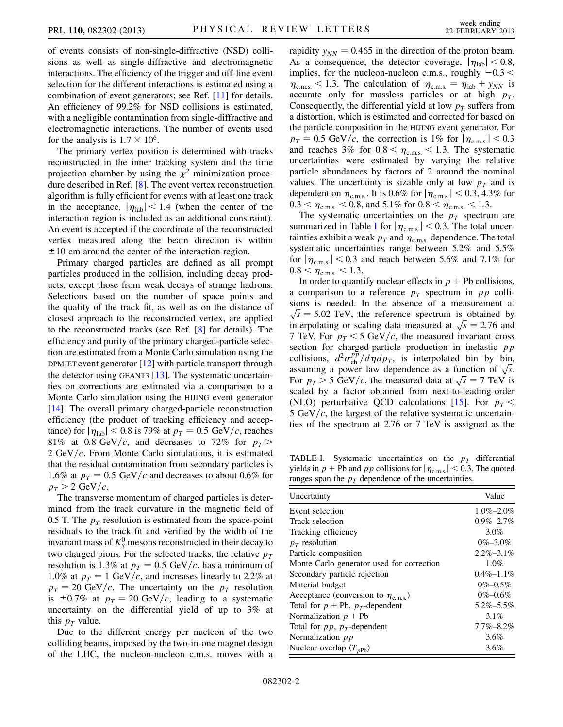of events consists of non-single-diffractive (NSD) collisions as well as single-diffractive and electromagnetic interactions. The efficiency of the trigger and off-line event selection for the different interactions is estimated using a combination of event generators; see Ref. [[11](#page-4-10)] for details. An efficiency of 99.2% for NSD collisions is estimated, with a negligible contamination from single-diffractive and electromagnetic interactions. The number of events used for the analysis is  $1.7 \times 10^6$ .

The primary vertex position is determined with tracks reconstructed in the inner tracking system and the time projection chamber by using the  $\chi^2$  minimization procedure described in Ref. [[8\]](#page-4-6). The event vertex reconstruction algorithm is fully efficient for events with at least one track in the acceptance,  $|\eta_{lab}| < 1.4$  (when the center of the interaction region is included as an additional constraint). An event is accepted if the coordinate of the reconstructed vertex measured along the beam direction is within  $\pm 10$  cm around the center of the interaction region.

Primary charged particles are defined as all prompt particles produced in the collision, including decay products, except those from weak decays of strange hadrons. Selections based on the number of space points and the quality of the track fit, as well as on the distance of closest approach to the reconstructed vertex, are applied to the reconstructed tracks (see Ref. [\[8](#page-4-6)] for details). The efficiency and purity of the primary charged-particle selection are estimated from a Monte Carlo simulation using the DPMJET event generator  $[12]$  $[12]$  $[12]$  with particle transport through the detector using GEANT3 [[13](#page-4-12)]. The systematic uncertainties on corrections are estimated via a comparison to a Monte Carlo simulation using the HIJING event generator [\[14\]](#page-4-13). The overall primary charged-particle reconstruction efficiency (the product of tracking efficiency and acceptance) for  $|\eta_{\rm lab}| < 0.8$  is 79% at  $p_T = 0.5 \text{ GeV}/c$ , reaches 81% at 0.8 GeV/c, and decreases to 72% for  $p_T >$ 2 GeV/ $c$ . From Monte Carlo simulations, it is estimated that the residual contamination from secondary particles is 1.6% at  $p_T = 0.5$  GeV/c and decreases to about 0.6% for  $p_T > 2$  GeV/c.

The transverse momentum of charged particles is determined from the track curvature in the magnetic field of 0.5 T. The  $p_T$  resolution is estimated from the space-point residuals to the track fit and verified by the width of the invariant mass of  $K_S^0$  mesons reconstructed in their decay to two charged pions. For the selected tracks, the relative  $p_T$ resolution is 1.3% at  $p_T = 0.5 \text{ GeV}/c$ , has a minimum of 1.0% at  $p_T = 1$  GeV/c, and increases linearly to 2.2% at  $p_T = 20 \text{ GeV}/c$ . The uncertainty on the  $p_T$  resolution is  $\pm 0.7\%$  at  $p_T = 20 \text{ GeV}/c$ , leading to a systematic uncertainty on the differential yield of up to 3% at this  $p_T$  value.

Due to the different energy per nucleon of the two colliding beams, imposed by the two-in-one magnet design of the LHC, the nucleon-nucleon c.m.s. moves with a rapidity  $y_{NN} = 0.465$  in the direction of the proton beam. As a consequence, the detector coverage,  $|\eta_{lab}| < 0.8$ , implies, for the nucleon-nucleon c.m.s., roughly  $-0.3 <$  $\eta_{\rm c.m.s.}$  < 1.3. The calculation of  $\eta_{\rm c.m.s.} = \eta_{\rm lab} + y_{NN}$  is accurate only for massless particles or at high  $p_T$ . Consequently, the differential yield at low  $p_T$  suffers from a distortion, which is estimated and corrected for based on the particle composition in the HIJING event generator. For  $p_T = 0.5 \text{ GeV}/c$ , the correction is 1% for  $|\eta_{\text{c.m.s.}}|$  < 0.3 and reaches 3% for  $0.8 < \eta_{\rm c.m.s.} < 1.3$ . The systematic uncertainties were estimated by varying the relative particle abundances by factors of 2 around the nominal values. The uncertainty is sizable only at low  $p<sub>T</sub>$  and is dependent on  $\eta_{\rm c.m.s.}$  It is 0.6% for  $|\eta_{\rm c.m.s.}| < 0.3, 4.3\%$  for  $0.3 < \eta_{\rm c.m.s.} < 0.8$ , and  $5.1\%$  for  $0.8 < \eta_{\rm c.m.s.} < 1.3$ .

The systematic uncertainties on the  $p_T$  spectrum are summarized in Table [I](#page-1-0) for  $|\eta_{\rm c.m.s.}| < 0.3$ . The total uncertainties exhibit a weak  $p_T$  and  $\eta_{\rm c.m.s.}$  dependence. The total systematic uncertainties range between 5.2% and 5.5% for  $|\eta_{\text{c.m.s.}}|$  < 0.3 and reach between 5.6% and 7.1% for  $0.8 < \eta_{\rm c.m.s.} < 1.3$ .

In order to quantify nuclear effects in  $p + Pb$  collisions, a comparison to a reference  $p_T$  spectrum in pp collisions is needed. In the absence of a measurement at  $\sqrt{s}$  = 5.02 TeV, the reference spectrum is obtained by  $\sqrt{s}$  = 5.02 TeV, the reference spectrum is obtained by interpolating or scaling data measured at  $\sqrt{s}$  = 2.76 and 7 TeV. For  $p_T < 5$  GeV/c, the measured invariant cross section for charged-particle production in inelastic  $pp$ collisions,  $d^2 \sigma_{ch}^{pp}/d\eta dp_T$ , is interpolated bin by bin, collisions,  $d^2 \sigma_{ch}^{P} / d\eta dp_T$ , is interpolated bin by bin, assuming a power law dependence as a function of  $\sqrt{s}$ . assuming a power law dependence as a function of  $\sqrt{s}$ .<br>For  $p_T > 5$  GeV/c, the measured data at  $\sqrt{s} = 7$  TeV is scaled by a factor obtained from next-to-leading-order (NLO) perturbative QCD calculations [\[15\]](#page-4-14). For  $p_T <$ 5 GeV/ $c$ , the largest of the relative systematic uncertainties of the spectrum at 2.76 or 7 TeV is assigned as the

<span id="page-1-0"></span>TABLE I. Systematic uncertainties on the  $p_T$  differential yields in  $p + Pb$  and  $pp$  collisions for  $|\eta_{\text{c.m.s.}}| < 0.3$ . The quoted ranges span the  $p_T$  dependence of the uncertainties.

| Uncertainty                                     | Value           |
|-------------------------------------------------|-----------------|
| Event selection                                 | $1.0\% - 2.0\%$ |
| Track selection                                 | $0.9\% - 2.7\%$ |
| Tracking efficiency                             | 3.0%            |
| $p_T$ resolution                                | $0\% - 3.0\%$   |
| Particle composition                            | $2.2\% - 3.1\%$ |
| Monte Carlo generator used for correction       | 1.0%            |
| Secondary particle rejection                    | $0.4\% - 1.1\%$ |
| Material budget                                 | $0\% - 0.5\%$   |
| Acceptance (conversion to $\eta_{\rm c.m.s.}$ ) | $0\% - 0.6\%$   |
| Total for $p + Pb$ , $p_T$ -dependent           | $5.2\% - 5.5\%$ |
| Normalization $p + Pb$                          | $3.1\%$         |
| Total for $pp$ , $p_T$ -dependent               | $7.7\% - 8.2\%$ |
| Normalization $p p$                             | 3.6%            |
| Nuclear overlap $\langle T_{pPb} \rangle$       | 3.6%            |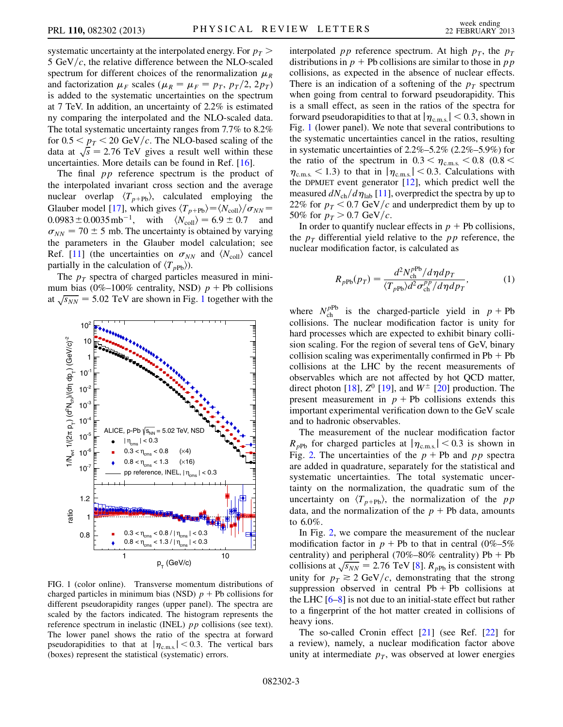systematic uncertainty at the interpolated energy. For  $p_T$  > 5 GeV/ $c$ , the relative difference between the NLO-scaled spectrum for different choices of the renormalization  $\mu_R$ and factorization  $\mu_F$  scales ( $\mu_R = \mu_F = p_T$ ,  $p_T/2$ , 2 $p_T$ ) is added to the systematic uncertainties on the spectrum at 7 TeV. In addition, an uncertainty of 2.2% is estimated ny comparing the interpolated and the NLO-scaled data. The total systematic uncertainty ranges from 7.7% to 8.2% for  $0.5 < p_T < 20$  GeV/c. The NLO-based scaling of the for  $0.5 \le p_T \le 20 \text{ GeV}/c$ . The NLO-based scaling of the data at  $\sqrt{s} = 2.76 \text{ TeV}$  gives a result well within these uncertainties. More details can be found in Ref. [[16](#page-4-15)].

The final *pp* reference spectrum is the product of the interpolated invariant cross section and the average nuclear overlap  $\langle T_{p+Pb} \rangle$ , calculated employing the Glauber model [[17](#page-4-16)], which gives  $\langle T_{p+Pb} \rangle = \langle N_{\text{coll}} \rangle / \sigma_{NN}$  $0.0983 \pm 0.0035 \text{ mb}^{-1}$ , with  $\langle N_{\text{coll}} \rangle = 6.9 \pm 0.7$  and  $\sigma_{NN}$  = 70  $\pm$  5 mb. The uncertainty is obtained by varying the parameters in the Glauber model calculation; see Ref. [\[11\]](#page-4-10) (the uncertainties on  $\sigma_{NN}$  and  $\langle N_{\text{coll}} \rangle$  cancel partially in the calculation of  $\langle T_{pPb} \rangle$ ).

The  $p_T$  spectra of charged particles measured in minimum bias (0%–100% centrality, NSD)  $p + Pb$  collisions mum bias (0%–[1](#page-2-0)00% centrality, NSD)  $p$  + Pb collisions<br>at  $\sqrt{s_{NN}}$  = 5.02 TeV are shown in Fig. 1 together with the

<span id="page-2-0"></span>

FIG. 1 (color online). Transverse momentum distributions of charged particles in minimum bias (NSD)  $p + Pb$  collisions for different pseudorapidity ranges (upper panel). The spectra are scaled by the factors indicated. The histogram represents the reference spectrum in inelastic (INEL) pp collisions (see text). The lower panel shows the ratio of the spectra at forward pseudorapidities to that at  $|\eta_{\rm c.m.s.}| < 0.3$ . The vertical bars (boxes) represent the statistical (systematic) errors.

interpolated pp reference spectrum. At high  $p<sub>T</sub>$ , the  $p<sub>T</sub>$ distributions in  $p + Pb$  collisions are similar to those in pp collisions, as expected in the absence of nuclear effects. There is an indication of a softening of the  $p_T$  spectrum when going from central to forward pseudorapidity. This is a small effect, as seen in the ratios of the spectra for forward pseudorapidities to that at  $|\eta_{\rm c.m.s.}| < 0.3$ , shown in Fig. [1](#page-2-0) (lower panel). We note that several contributions to the systematic uncertainties cancel in the ratios, resulting in systematic uncertainties of 2.2%–5.2% (2.2%–5.9%) for the ratio of the spectrum in  $0.3 < \eta_{\rm c.m.s.} < 0.8$  (0.8 <  $\eta_{\rm c.m.s.}$  < 1.3) to that in  $|\eta_{\rm c.m.s.}|$  < 0.3. Calculations with the DPMJET event generator [\[12](#page-4-11)], which predict well the measured  $dN_\text{ch}/d\eta_\text{lab}$  [\[11\]](#page-4-10), overpredict the spectra by up to 22% for  $p_T < 0.7$  GeV/c and underpredict them by up to 50% for  $p_T > 0.7$  GeV/c.

In order to quantify nuclear effects in  $p + Pb$  collisions, the  $p_T$  differential yield relative to the pp reference, the nuclear modification factor, is calculated as

$$
R_{pPb}(p_T) = \frac{d^2 N_{\rm ch}^{pPb} / d\eta dp_T}{\langle T_{pPb} \rangle d^2 \sigma_{\rm ch}^{p} / d\eta dp_T},\tag{1}
$$

where  $N_{ch}^{pPb}$  is the charged-particle yield in  $p + Pb$ collisions. The nuclear modification factor is unity for hard processes which are expected to exhibit binary collision scaling. For the region of several tens of GeV, binary collision scaling was experimentally confirmed in  $Pb + Pb$ collisions at the LHC by the recent measurements of observables which are not affected by hot QCD matter, direct photon [[18](#page-4-17)],  $Z^0$  [[19](#page-4-18)], and  $W^{\pm}$  [\[20\]](#page-4-19) production. The present measurement in  $p + Pb$  collisions extends this important experimental verification down to the GeV scale and to hadronic observables.

The measurement of the nuclear modification factor  $R_{pPb}$  for charged particles at  $|\eta_{\rm c.m.s.}| < 0.3$  is shown in Fig. [2.](#page-3-0) The uncertainties of the  $p + Pb$  and pp spectra are added in quadrature, separately for the statistical and systematic uncertainties. The total systematic uncertainty on the normalization, the quadratic sum of the uncertainty on  $\langle T_{p+Pb} \rangle$ , the normalization of the pp data, and the normalization of the  $p + Pb$  data, amounts to 6.0%.

In Fig. [2](#page-3-0), we compare the measurement of the nuclear modification factor in  $p + Pb$  to that in central (0%–5%) centrality) and peripheral (70%–80% centrality)  $Pb + Pb$ contrality) and peripheral ( $70\% - 80\%$  $70\% - 80\%$  $70\% - 80\%$  centrality) Pb + Pb<br>collisions at  $\sqrt{s_{NN}} = 2.76$  TeV [8].  $R_{pPb}$  is consistent with unity for  $p_T \geq 2 \text{ GeV}/c$ , demonstrating that the strong suppression observed in central  $Pb + Pb$  collisions at the LHC  $[6-8]$  $[6-8]$  $[6-8]$  is not due to an initial-state effect but rather to a fingerprint of the hot matter created in collisions of heavy ions.

The so-called Cronin effect [[21](#page-5-0)] (see Ref. [\[22\]](#page-5-1) for a review), namely, a nuclear modification factor above unity at intermediate  $p<sub>T</sub>$ , was observed at lower energies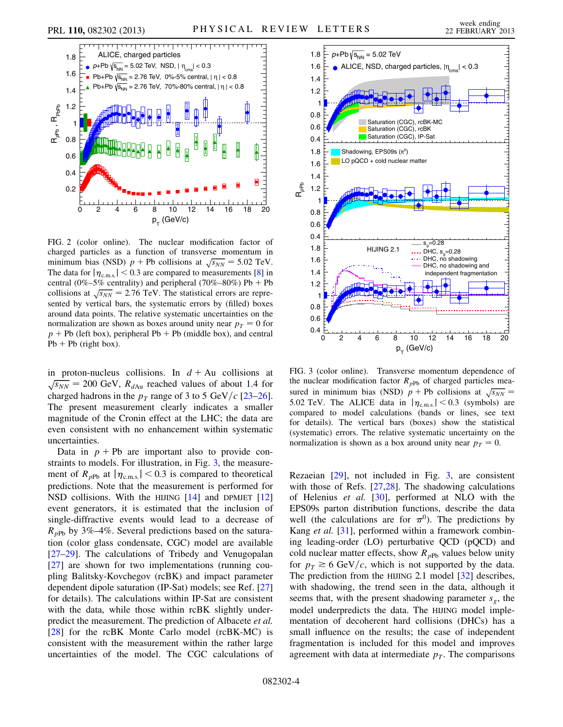<span id="page-3-0"></span>

FIG. 2 (color online). The nuclear modification factor of charged particles as a function of transverse momentum in charged particles as a function of transverse momentum in<br>minimum bias (NSD)  $p$  + Pb collisions at  $\sqrt{s_{NN}}$  = 5.02 TeV. The data for  $|\eta_{\rm c.m.s.}|$  < 0.3 are compared to measurements [\[8](#page-4-6)] in central (0%–5% centrality) and peripheral (70%–80%) Pb + Pb central (0%-5% centrality) and peripheral (70%-80%) Pb + Pb<br>collisions at  $\sqrt{s_{NN}}$  = 2.76 TeV. The statistical errors are represented by vertical bars, the systematic errors by (filled) boxes around data points. The relative systematic uncertainties on the normalization are shown as boxes around unity near  $p_T = 0$  for  $p + Pb$  (left box), peripheral Pb + Pb (middle box), and central  $Pb + Pb$  (right box).

in proton-nucleus collisions. In  $d + Au$  collisions at  $\sqrt{s_{NN}}$  = 200 GeV,  $R_{dAu}$  reached values of about 1.4 for charged hadrons in the  $p_T$  range of 3 to 5 GeV/c [[23](#page-5-2)–[26\]](#page-5-3). The present measurement clearly indicates a smaller magnitude of the Cronin effect at the LHC; the data are even consistent with no enhancement within systematic uncertainties.

Data in  $p + Pb$  are important also to provide constraints to models. For illustration, in Fig. [3](#page-3-1), the measurement of  $R_{pPb}$  at  $|\eta_{\text{c.m.s.}}|$  < 0.3 is compared to theoretical predictions. Note that the measurement is performed for NSD collisions. With the HIJING  $[14]$  and DPMJET  $[12]$ event generators, it is estimated that the inclusion of single-diffractive events would lead to a decrease of  $R_{pPb}$  by 3%–4%. Several predictions based on the saturation (color glass condensate, CGC) model are available [\[27–](#page-5-4)[29\]](#page-5-5). The calculations of Tribedy and Venugopalan [\[27\]](#page-5-4) are shown for two implementations (running coupling Balitsky-Kovchegov (rcBK) and impact parameter dependent dipole saturation (IP-Sat) models; see Ref. [\[27\]](#page-5-4) for details). The calculations within IP-Sat are consistent with the data, while those within rcBK slightly underpredict the measurement. The prediction of Albacete et al. [\[28\]](#page-5-6) for the rcBK Monte Carlo model (rcBK-MC) is consistent with the measurement within the rather large uncertainties of the model. The CGC calculations of

<span id="page-3-1"></span>

FIG. 3 (color online). Transverse momentum dependence of the nuclear modification factor  $R_{pPb}$  of charged particles meathe nuclear modification factor  $\kappa_{pPb}$  of charged particles measured in minimum bias (NSD)  $p + Pb$  collisions at  $\sqrt{s_{NN}} =$ 5.02 TeV. The ALICE data in  $|\eta_{\text{c.m.s.}}|$  < 0.3 (symbols) are compared to model calculations (bands or lines, see text for details). The vertical bars (boxes) show the statistical (systematic) errors. The relative systematic uncertainty on the normalization is shown as a box around unity near  $p_T = 0$ .

Rezaeian [\[29\]](#page-5-5), not included in Fig. [3](#page-3-1), are consistent with those of Refs. [\[27](#page-5-4)[,28\]](#page-5-6). The shadowing calculations of Helenius et al. [[30](#page-5-7)], performed at NLO with the EPS09s parton distribution functions, describe the data well (the calculations are for  $\pi^0$ ). The predictions by Kang *et al.* [\[31\]](#page-5-8), performed within a framework combining leading-order (LO) perturbative QCD (pQCD) and cold nuclear matter effects, show  $R_{pPb}$  values below unity for  $p_T \ge 6$  GeV/c, which is not supported by the data. The prediction from the HIJING 2.1 model [[32](#page-5-9)] describes, with shadowing, the trend seen in the data, although it seems that, with the present shadowing parameter  $s_g$ , the model underpredicts the data. The HIJING model implementation of decoherent hard collisions (DHCs) has a small influence on the results; the case of independent fragmentation is included for this model and improves agreement with data at intermediate  $p<sub>T</sub>$ . The comparisons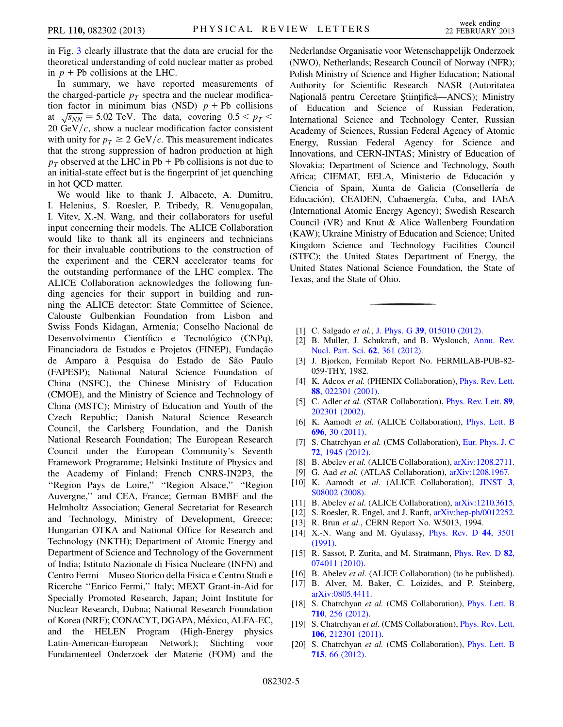in Fig. [3](#page-3-1) clearly illustrate that the data are crucial for the theoretical understanding of cold nuclear matter as probed in  $p + Pb$  collisions at the LHC.

In summary, we have reported measurements of the charged-particle  $p_T$  spectra and the nuclear modification factor in minimum bias (NSD)  $p + Pb$  collisions tion factor in minimum bias (NSD)  $p + Pb$  collisions<br>at  $\sqrt{s_{NN}} = 5.02$  TeV. The data, covering  $0.5 < p_T <$ 20 GeV/ $c$ , show a nuclear modification factor consistent with unity for  $p_T \geq 2 \text{ GeV}/c$ . This measurement indicates that the strong suppression of hadron production at high  $p_T$  observed at the LHC in Pb + Pb collisions is not due to an initial-state effect but is the fingerprint of jet quenching in hot QCD matter.

We would like to thank J. Albacete, A. Dumitru, I. Helenius, S. Roesler, P. Tribedy, R. Venugopalan, I. Vitev, X.-N. Wang, and their collaborators for useful input concerning their models. The ALICE Collaboration would like to thank all its engineers and technicians for their invaluable contributions to the construction of the experiment and the CERN accelerator teams for the outstanding performance of the LHC complex. The ALICE Collaboration acknowledges the following funding agencies for their support in building and running the ALICE detector: State Committee of Science, Calouste Gulbenkian Foundation from Lisbon and Swiss Fonds Kidagan, Armenia; Conselho Nacional de Desenvolvimento Científico e Tecnológico (CNPq), Financiadora de Estudos e Projetos (FINEP), Fundação de Amparo à Pesquisa do Estado de São Paulo (FAPESP); National Natural Science Foundation of China (NSFC), the Chinese Ministry of Education (CMOE), and the Ministry of Science and Technology of China (MSTC); Ministry of Education and Youth of the Czech Republic; Danish Natural Science Research Council, the Carlsberg Foundation, and the Danish National Research Foundation; The European Research Council under the European Community's Seventh Framework Programme; Helsinki Institute of Physics and the Academy of Finland; French CNRS-IN2P3, the ''Region Pays de Loire,'' ''Region Alsace,'' ''Region Auvergne,'' and CEA, France; German BMBF and the Helmholtz Association; General Secretariat for Research and Technology, Ministry of Development, Greece; Hungarian OTKA and National Office for Research and Technology (NKTH); Department of Atomic Energy and Department of Science and Technology of the Government of India; Istituto Nazionale di Fisica Nucleare (INFN) and Centro Fermi—Museo Storico della Fisica e Centro Studi e Ricerche ''Enrico Fermi,'' Italy; MEXT Grant-in-Aid for Specially Promoted Research, Japan; Joint Institute for Nuclear Research, Dubna; National Research Foundation of Korea (NRF); CONACYT, DGAPA, México, ALFA-EC, and the HELEN Program (High-Energy physics Latin-American-European Network); Stichting voor Fundamenteel Onderzoek der Materie (FOM) and the Nederlandse Organisatie voor Wetenschappelijk Onderzoek (NWO), Netherlands; Research Council of Norway (NFR); Polish Ministry of Science and Higher Education; National Authority for Scientific Research—NASR (Autoritatea Națională pentru Cercetare Științifică—ANCS); Ministry of Education and Science of Russian Federation, International Science and Technology Center, Russian Academy of Sciences, Russian Federal Agency of Atomic Energy, Russian Federal Agency for Science and Innovations, and CERN-INTAS; Ministry of Education of Slovakia; Department of Science and Technology, South Africa; CIEMAT, EELA, Ministerio de Educación y Ciencia of Spain, Xunta de Galicia (Consellería de Educación), CEADEN, Cubaenergía, Cuba, and IAEA (International Atomic Energy Agency); Swedish Research Council (VR) and Knut & Alice Wallenberg Foundation (KAW); Ukraine Ministry of Education and Science; United Kingdom Science and Technology Facilities Council (STFC); the United States Department of Energy, the United States National Science Foundation, the State of Texas, and the State of Ohio.

- <span id="page-4-1"></span><span id="page-4-0"></span>[1] C. Salgado et al., J. Phys. G 39[, 015010 \(2012\)](http://dx.doi.org/10.1088/0954-3899/39/1/015010).
- <span id="page-4-2"></span>[2] B. Muller, J. Schukraft, and B. Wyslouch, [Annu. Rev.](http://dx.doi.org/10.1146/annurev-nucl-102711-094910) [Nucl. Part. Sci.](http://dx.doi.org/10.1146/annurev-nucl-102711-094910) 62, 361 (2012).
- <span id="page-4-3"></span>[3] J. Bjorken, Fermilab Report No. FERMILAB-PUB-82- 059-THY, 1982.
- <span id="page-4-4"></span>[4] K. Adcox et al. (PHENIX Collaboration), [Phys. Rev. Lett.](http://dx.doi.org/10.1103/PhysRevLett.88.022301) 88[, 022301 \(2001\)](http://dx.doi.org/10.1103/PhysRevLett.88.022301).
- <span id="page-4-5"></span>[5] C. Adler et al. (STAR Collaboration), *[Phys. Rev. Lett.](http://dx.doi.org/10.1103/PhysRevLett.89.202301)* 89, [202301 \(2002\).](http://dx.doi.org/10.1103/PhysRevLett.89.202301)
- <span id="page-4-7"></span>[6] K. Aamodt et al. (ALICE Collaboration), [Phys. Lett. B](http://dx.doi.org/10.1016/j.physletb.2010.12.020) 696[, 30 \(2011\)](http://dx.doi.org/10.1016/j.physletb.2010.12.020).
- <span id="page-4-6"></span>[7] S. Chatrchyan et al. (CMS Collaboration), [Eur. Phys. J. C](http://dx.doi.org/10.1140/epjc/s10052-012-1945-x) 72[, 1945 \(2012\).](http://dx.doi.org/10.1140/epjc/s10052-012-1945-x)
- <span id="page-4-9"></span><span id="page-4-8"></span>[8] B. Abelev et al. (ALICE Collaboration), [arXiv:1208.2711.](http://arXiv.org/abs/1208.2711)
- [9] G. Aad et al. (ATLAS Collaboration), [arXiv:1208.1967.](http://arXiv.org/abs/1208.1967)
- <span id="page-4-10"></span>[10] K. Aamodt et al. (ALICE Collaboration), [JINST](http://dx.doi.org/10.1088/1748-0221/3/08/S08002) 3, [S08002 \(2008\)](http://dx.doi.org/10.1088/1748-0221/3/08/S08002).
- <span id="page-4-12"></span><span id="page-4-11"></span>[11] B. Abelev et al. (ALICE Collaboration), [arXiv:1210.3615.](http://arXiv.org/abs/1210.3615)
- <span id="page-4-13"></span>[12] S. Roesler, R. Engel, and J. Ranft, [arXiv:hep-ph/0012252.](http://arXiv.org/abs/hep-ph/0012252)
- [13] R. Brun et al., CERN Report No. W5013, 1994.
- <span id="page-4-14"></span>[14] X.-N. Wang and M. Gyulassy, *[Phys. Rev. D](http://dx.doi.org/10.1103/PhysRevD.44.3501)* 44, 3501 [\(1991\)](http://dx.doi.org/10.1103/PhysRevD.44.3501).
- <span id="page-4-16"></span><span id="page-4-15"></span>[15] R. Sassot, P. Zurita, and M. Stratmann, *[Phys. Rev. D](http://dx.doi.org/10.1103/PhysRevD.82.074011)* 82, [074011 \(2010\).](http://dx.doi.org/10.1103/PhysRevD.82.074011)
- [16] B. Abelev *et al.* (ALICE Collaboration) (to be published).
- <span id="page-4-17"></span>[17] B. Alver, M. Baker, C. Loizides, and P. Steinberg, [arXiv:0805.4411.](http://arXiv.org/abs/0805.4411)
- <span id="page-4-18"></span>[18] S. Chatrchyan et al. (CMS Collaboration), *[Phys. Lett. B](http://dx.doi.org/10.1016/j.physletb.2012.02.077)* 710[, 256 \(2012\).](http://dx.doi.org/10.1016/j.physletb.2012.02.077)
- <span id="page-4-19"></span>[19] S. Chatrchyan et al. (CMS Collaboration), *[Phys. Rev. Lett.](http://dx.doi.org/10.1103/PhysRevLett.106.212301)* 106[, 212301 \(2011\)](http://dx.doi.org/10.1103/PhysRevLett.106.212301).
- [20] S. Chatrchyan et al. (CMS Collaboration), *[Phys. Lett. B](http://dx.doi.org/10.1016/j.physletb.2012.07.025)* 715[, 66 \(2012\)](http://dx.doi.org/10.1016/j.physletb.2012.07.025).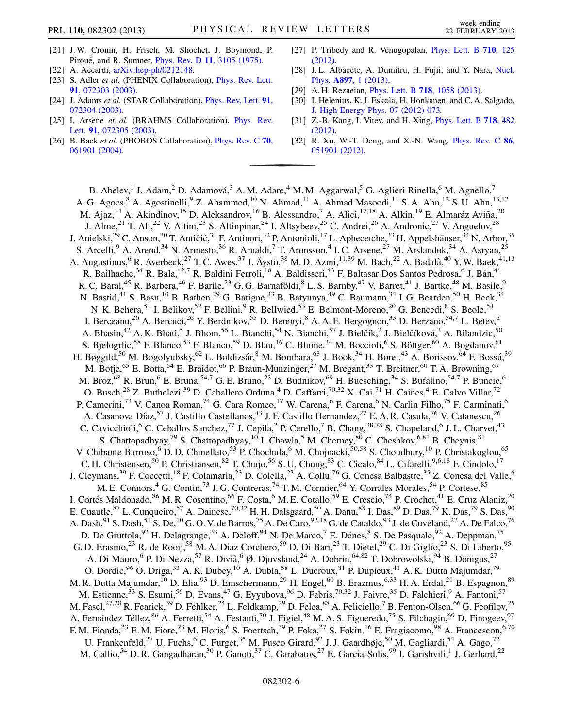- <span id="page-5-0"></span>[21] J. W. Cronin, H. Frisch, M. Shochet, J. Boymond, P. Piroué, and R. Sumner, *Phys. Rev. D 11, 3105 (1975)*.
- <span id="page-5-1"></span>[22] A. Accardi, [arXiv:hep-ph/0212148.](http://arXiv.org/abs/hep-ph/0212148)
- <span id="page-5-2"></span>[23] S. Adler et al. (PHENIX Collaboration), [Phys. Rev. Lett.](http://dx.doi.org/10.1103/PhysRevLett.91.072303) 91[, 072303 \(2003\)](http://dx.doi.org/10.1103/PhysRevLett.91.072303).
- [24] J. Adams et al. (STAR Collaboration), *[Phys. Rev. Lett.](http://dx.doi.org/10.1103/PhysRevLett.91.072304)* 91, [072304 \(2003\)](http://dx.doi.org/10.1103/PhysRevLett.91.072304).
- [25] I. Arsene et al. (BRAHMS Collaboration), [Phys. Rev.](http://dx.doi.org/10.1103/PhysRevLett.91.072305) Lett. 91[, 072305 \(2003\)](http://dx.doi.org/10.1103/PhysRevLett.91.072305).
- <span id="page-5-3"></span>[26] B. Back et al. (PHOBOS Collaboration), *[Phys. Rev. C](http://dx.doi.org/10.1103/PhysRevC.70.061901)* 70, [061901 \(2004\)](http://dx.doi.org/10.1103/PhysRevC.70.061901).
- <span id="page-5-4"></span>[27] P. Tribedy and R. Venugopalan, [Phys. Lett. B](http://dx.doi.org/10.1016/j.physletb.2012.02.047) 710, 125 [\(2012\)](http://dx.doi.org/10.1016/j.physletb.2012.02.047).
- <span id="page-5-6"></span>[28] J.L. Albacete, A. Dumitru, H. Fujii, and Y. Nara, [Nucl.](http://dx.doi.org/10.1016/j.nuclphysa.2012.09.012) Phys. A897[, 1 \(2013\)](http://dx.doi.org/10.1016/j.nuclphysa.2012.09.012).
- <span id="page-5-5"></span>[29] A. H. Rezaeian, *Phys. Lett. B* **718**[, 1058 \(2013\).](http://dx.doi.org/10.1016/j.physletb.2012.11.066)
- <span id="page-5-7"></span>[30] I. Helenius, K. J. Eskola, H. Honkanen, and C. A. Salgado, [J. High Energy Phys. 07 \(2012\) 073.](http://dx.doi.org/10.1007/JHEP07(2012)073)
- <span id="page-5-8"></span>[31] Z.-B. Kang, I. Vitev, and H. Xing, *[Phys. Lett. B](http://dx.doi.org/10.1016/j.physletb.2012.10.046)* **718**, 482 [\(2012\)](http://dx.doi.org/10.1016/j.physletb.2012.10.046).
- <span id="page-5-9"></span>[32] R. Xu, W.-T. Deng, and X.-N. Wang, *[Phys. Rev. C](http://dx.doi.org/10.1103/PhysRevC.86.051901)* 86, [051901 \(2012\).](http://dx.doi.org/10.1103/PhysRevC.86.051901)

B. Abelev,<sup>1</sup> J. Adam,<sup>2</sup> D. Adamová,<sup>3</sup> A. M. Adare,<sup>4</sup> M. M. Aggarwal,<sup>5</sup> G. Aglieri Rinella,<sup>6</sup> M. Agnello,<sup>7</sup> A. G. Agocs,<sup>8</sup> A. Agostinelli,<sup>9</sup> Z. Ahammed,<sup>10</sup> N. Ahmad,<sup>11</sup> A. Ahmad Masoodi,<sup>11</sup> S. A. Ahn,<sup>12</sup> S. U. Ahn,<sup>13,12</sup> M. Ajaz,<sup>14</sup> A. Akindinov,<sup>15</sup> D. Aleksandrov,<sup>16</sup> B. Alessandro,<sup>7</sup> A. Alici,<sup>17,18</sup> A. Alkin,<sup>19</sup> E. Almaráz Aviña,<sup>20</sup> J. Alme,<sup>21</sup> T. Alt,<sup>22</sup> V. Altini,<sup>23</sup> S. Altinpinar,<sup>24</sup> I. Altsybeev,<sup>25</sup> C. Andrei,<sup>26</sup> A. Andronic,<sup>27</sup> V. Anguelov,<sup>28</sup> J. Anielski,<sup>29</sup> C. Anson,<sup>30</sup> T. Antičić,<sup>31</sup> F. Antinori,<sup>32</sup> P. Antonioli,<sup>17</sup> L. Aphecetche,<sup>33</sup> H. Appelshäuser,<sup>34</sup> N. Arbor,<sup>35</sup> S. Arcelli,<sup>9</sup> A. Arend,<sup>34</sup> N. Armesto,<sup>36</sup> R. Arnaldi,<sup>7</sup> T. Aronsson,<sup>4</sup> I. C. Arsene,<sup>27</sup> M. Arslandok,<sup>34</sup> A. Asryan,<sup>25</sup> A. Augustinus, <sup>6</sup> R. Averbeck, <sup>27</sup> T. C. Awes, <sup>37</sup> J. Äystö, <sup>38</sup> M. D. Azmi, <sup>11,39</sup> M. Bach, <sup>22</sup> A. Badalà, <sup>40</sup> Y. W. Baek, <sup>41,13</sup> R. Bailhache, <sup>34</sup> R. Bala, <sup>42,7</sup> R. Baldini Ferroli, <sup>18</sup> A. Baldisseri, <sup>43</sup> F. Baltasar Dos Santos Pedrosa, <sup>6</sup> J. Bán, <sup>44</sup> R. C. Baral,<sup>45</sup> R. Barbera,<sup>46</sup> F. Barile,<sup>23</sup> G. G. Barnaföldi,<sup>8</sup> L. S. Barnby,<sup>47</sup> V. Barret,<sup>41</sup> J. Bartke,<sup>48</sup> M. Basile,<sup>9</sup> N. Bastid,<sup>41</sup> S. Basu,<sup>10</sup> B. Bathen,<sup>29</sup> G. Batigne,<sup>33</sup> B. Batyunya,<sup>49</sup> C. Baumann,<sup>34</sup> I. G. Bearden,<sup>50</sup> H. Beck,<sup>34</sup> N. K. Behera,<sup>51</sup> I. Belikov,<sup>52</sup> F. Bellini,<sup>9</sup> R. Bellwied,<sup>53</sup> E. Belmont-Moreno,<sup>20</sup> G. Bencedi,<sup>8</sup> S. Beole,<sup>54</sup> I. Berceanu,<sup>26</sup> A. Bercuci,<sup>26</sup> Y. Berdnikov,<sup>55</sup> D. Berenyi,<sup>8</sup> A. A. E. Bergognon,<sup>33</sup> D. Berzano,<sup>54,7</sup> L. Betev,<sup>6</sup> A. Bhasin,<sup>42</sup> A. K. Bhati,<sup>5</sup> J. Bhom,<sup>56</sup> L. Bianchi,<sup>54</sup> N. Bianchi,<sup>57</sup> J. Bielčík,<sup>2</sup> J. Bielčíková,<sup>3</sup> A. Bilandzic,<sup>50</sup> S. Bjelogrlic,<sup>58</sup> F. Blanco,<sup>53</sup> F. Blanco,<sup>59</sup> D. Blau,<sup>16</sup> C. Blume,<sup>34</sup> M. Boccioli,<sup>6</sup> S. Böttger,<sup>60</sup> A. Bogdanov,<sup>61</sup> H. Bøggild,<sup>50</sup> M. Bogolyubsky,<sup>62</sup> L. Boldizsár,<sup>8</sup> M. Bombara,<sup>63</sup> J. Book,<sup>34</sup> H. Borel,<sup>43</sup> A. Borissov,<sup>64</sup> F. Bossú,<sup>39</sup> M. Botje,<sup>65</sup> E. Botta,<sup>54</sup> E. Braidot,<sup>66</sup> P. Braun-Munzinger,<sup>27</sup> M. Bregant,<sup>33</sup> T. Breitner,<sup>60</sup> T. A. Browning,<sup>67</sup> M. Broz,  $^{68}$  R. Brun,  $^6$  E. Bruna,  $^{54,7}$  G. E. Bruno,  $^{23}$  D. Budnikov,  $^{69}$  H. Buesching,  $^{34}$  S. Bufalino,  $^{54,7}$  P. Buncic,  $^{66}$ O. Busch,<sup>28</sup> Z. Buthelezi,<sup>39</sup> D. Caballero Orduna,<sup>4</sup> D. Caffarri,<sup>70,32</sup> X. Cai,<sup>71</sup> H. Caines,<sup>4</sup> E. Calvo Villar,<sup>72</sup> P. Camerini,<sup>73</sup> V. Canoa Roman,<sup>74</sup> G. Cara Romeo,<sup>17</sup> W. Carena,<sup>6</sup> F. Carena,<sup>6</sup> N. Carlin Filho,<sup>75</sup> F. Carminati,<sup>6</sup> A. Casanova Díaz,<sup>57</sup> J. Castillo Castellanos,<sup>43</sup> J. F. Castillo Hernandez,<sup>27</sup> E. A. R. Casula,<sup>76</sup> V. Catanescu,<sup>26</sup> C. Cavicchioli,<sup>6</sup> C. Ceballos Sanchez,<sup>77</sup> J. Cepila,<sup>2</sup> P. Cerello,<sup>7</sup> B. Chang,<sup>38,78</sup> S. Chapeland,<sup>6</sup> J. L. Charvet,<sup>43</sup> S. Chattopadhyay,<sup>79</sup> S. Chattopadhyay,<sup>10</sup> I. Chawla,<sup>5</sup> M. Cherney,<sup>80</sup> C. Cheshkov,<sup>6,81</sup> B. Cheynis,<sup>81</sup> V. Chibante Barroso,<sup>6</sup> D. D. Chinellato,<sup>53</sup> P. Chochula,<sup>6</sup> M. Chojnacki,<sup>50,58</sup> S. Choudhury,<sup>10</sup> P. Christakoglou,<sup>65</sup> C. H. Christensen,<sup>50</sup> P. Christiansen,<sup>82</sup> T. Chujo,<sup>56</sup> S. U. Chung,<sup>83</sup> C. Cicalo,<sup>84</sup> L. Cifarelli,<sup>9,6,18</sup> F. Cindolo,<sup>17</sup> J. Cleymans,<sup>39</sup> F. Coccetti,<sup>18</sup> F. Colamaria,<sup>23</sup> D. Colella,<sup>23</sup> A. Collu,<sup>76</sup> G. Conesa Balbastre,<sup>35</sup> Z. Conesa del Valle,<sup>6</sup> M. E. Connors,<sup>4</sup> G. Contin,<sup>73</sup> J. G. Contreras,<sup>74</sup> T. M. Cormier,<sup>64</sup> Y. Corrales Morales,<sup>54</sup> P. Cortese,<sup>85</sup> I. Cortés Maldonado,<sup>86</sup> M. R. Cosentino,<sup>66</sup> F. Costa,<sup>6</sup> M. E. Cotallo,<sup>59</sup> E. Crescio,<sup>74</sup> P. Crochet,<sup>41</sup> E. Cruz Alaniz,<sup>20</sup> E. Cuautle,  $^{87}$  L. Cunqueiro,  $^{57}$  A. Dainese,  $^{70,32}$  H. H. Dalsgaard,  $^{50}$  A. Danu,  $^{88}$  I. Das,  $^{89}$  D. Das,  $^{79}$  K. Das,  $^{79}$  S. Das,  $^{90}$ A. Dash,  $91$  S. Dash,  $51$  S. De,  $10$  G. O. V. de Barros,  $75$  A. De Caro,  $92,18$  G. de Cataldo,  $93$  J. de Cuveland,  $22$  A. De Falco,  $76$ D. De Gruttola,<sup>92</sup> H. Delagrange,<sup>33</sup> A. Deloff,<sup>94</sup> N. De Marco,<sup>7</sup> E. Dénes,<sup>8</sup> S. De Pasquale,<sup>92</sup> A. Deppman,<sup>75</sup> G. D. Erasmo,<sup>23</sup> R. de Rooij,<sup>58</sup> M. A. Diaz Corchero,<sup>59</sup> D. Di Bari,<sup>23</sup> T. Dietel,<sup>29</sup> C. Di Giglio,<sup>23</sup> S. Di Liberto,<sup>95</sup> A. Di Mauro, <sup>6</sup> P. Di Nezza, <sup>57</sup> R. Divià, <sup>6</sup> Ø. Djuvsland, <sup>24</sup> A. Dobrin, <sup>64,82</sup> T. Dobrowolski, <sup>94</sup> B. Dönigus, <sup>27</sup> O. Dordic, <sup>96</sup> O. Driga, <sup>33</sup> A. K. Dubey, <sup>10</sup> A. Dubla, <sup>58</sup> L. Ducroux, <sup>81</sup> P. Dupieux, <sup>41</sup> A. K. Dutta Majumdar, <sup>79</sup> M. R. Dutta Majumdar, <sup>10</sup> D. Elia, <sup>93</sup> D. Emschermann, <sup>29</sup> H. Engel, <sup>60</sup> B. Erazmus, <sup>6,33</sup> H. A. Erdal, <sup>21</sup> B. Espagnon, <sup>89</sup> M. Estienne,<sup>33</sup> S. Esumi,<sup>56</sup> D. Evans,<sup>47</sup> G. Eyyubova,<sup>96</sup> D. Fabris,<sup>70,32</sup> J. Faivre,<sup>35</sup> D. Falchieri,<sup>9</sup> A. Fantoni,<sup>57</sup> M. Fasel, $^{27,28}$  R. Fearick, $^{39}$  D. Fehlker, $^{24}$  L. Feldkamp, $^{29}$  D. Felea, $^{88}$  A. Feliciello, $^7$  B. Fenton-Olsen, $^{66}$  G. Feofilov, $^{25}$ A. Fernández Téllez, <sup>86</sup> A. Ferretti,<sup>54</sup> A. Festanti,<sup>70</sup> J. Figiel,<sup>48</sup> M. A. S. Figueredo,<sup>75</sup> S. Filchagin,<sup>69</sup> D. Finogeev,<sup>97</sup> F. M. Fionda,<sup>23</sup> E. M. Fiore,<sup>23</sup> M. Floris,<sup>6</sup> S. Foertsch,<sup>39</sup> P. Foka,<sup>27</sup> S. Fokin,<sup>16</sup> E. Fragiacomo,<sup>98</sup> A. Francescon,<sup>6,70</sup> U. Frankenfeld,<sup>27</sup> U. Fuchs,<sup>6</sup> C. Furget,<sup>35</sup> M. Fusco Girard,<sup>92</sup> J. J. Gaardhøje,<sup>50</sup> M. Gagliardi,<sup>54</sup> A. Gago,<sup>72</sup> M. Gallio,<sup>54</sup> D. R. Gangadharan,<sup>30</sup> P. Ganoti,<sup>37</sup> C. Garabatos,<sup>27</sup> E. Garcia-Solis,<sup>99</sup> I. Garishvili,<sup>1</sup> J. Gerhard,<sup>22</sup>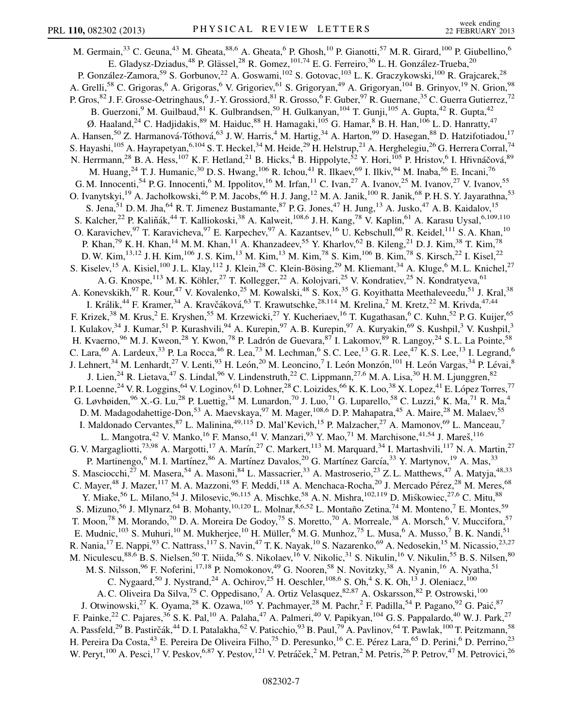M. Germain,<sup>33</sup> C. Geuna,<sup>43</sup> M. Gheata,<sup>88,6</sup> A. Gheata,<sup>6</sup> P. Ghosh,<sup>10</sup> P. Gianotti,<sup>57</sup> M. R. Girard,<sup>100</sup> P. Giubellino,<sup>6</sup> E. Gladysz-Dziadus, <sup>48</sup> P. Glässel, <sup>28</sup> R. Gomez,  $^{101,74}$  E. G. Ferreiro,  $^{36}$  L. H. González-Trueba,  $^{20}$ P. González-Zamora,<sup>59</sup> S. Gorbunov,<sup>22</sup> A. Goswami,<sup>102</sup> S. Gotovac,<sup>103</sup> L. K. Graczykowski,<sup>100</sup> R. Grajcarek,<sup>28</sup> A. Grelli,<sup>58</sup> C. Grigoras,<sup>6</sup> A. Grigoras,<sup>6</sup> V. Grigoriev,<sup>61</sup> S. Grigoryan,<sup>49</sup> A. Grigoryan,<sup>104</sup> B. Grinyov,<sup>19</sup> N. Grion,<sup>98</sup> P. Gros, <sup>82</sup> J. F. Grosse-Oetringhaus, <sup>6</sup> J.-Y. Grossiord, <sup>81</sup> R. Grosso, <sup>6</sup> F. Guber, <sup>97</sup> R. Guernane, <sup>35</sup> C. Guerra Gutierrez, <sup>72</sup> B. Guerzoni,<sup>9</sup> M. Guilbaud,<sup>81</sup> K. Gulbrandsen,<sup>50</sup> H. Gulkanyan,<sup>104</sup> T. Gunji,<sup>105</sup> A. Gupta,<sup>42</sup> R. Gupta,<sup>42</sup> Ø. Haaland, $^{24}$  C. Hadjidakis, $^{89}$  M. Haiduc, $^{88}$  H. Hamagaki, $^{105}$  G. Hamar, $^8$  B. H. Han, $^{106}$  L. D. Hanratty, $^{47}$ A. Hansen,<sup>50</sup> Z. Harmanová-Tóthová,<sup>63</sup> J. W. Harris,<sup>4</sup> M. Hartig,<sup>34</sup> A. Harton,<sup>99</sup> D. Hasegan,<sup>88</sup> D. Hatzifotiadou,<sup>17</sup> S. Hayashi, $^{105}$  A. Hayrapetyan, $^{6,104}$  S. T. Heckel, $^{34}$  M. Heide, $^{29}$  H. Helstrup, $^{21}$  A. Herghelegiu, $^{26}$  G. Herrera Corral, $^{74}$ N. Herrmann,<sup>28</sup> B. A. Hess,<sup>107</sup> K. F. Hetland,<sup>21</sup> B. Hicks,<sup>4</sup> B. Hippolyte,<sup>52</sup> Y. Hori,<sup>105</sup> P. Hristov,<sup>6</sup> I. Hřivnáčová,<sup>89</sup> M. Huang,<sup>24</sup> T. J. Humanic,<sup>30</sup> D. S. Hwang,<sup>106</sup> R. Ichou,<sup>41</sup> R. Ilkaev,<sup>69</sup> I. Ilkiv,<sup>94</sup> M. Inaba,<sup>56</sup> E. Incani,<sup>76</sup> G. M. Innocenti,<sup>54</sup> P. G. Innocenti,<sup>6</sup> M. Ippolitov,<sup>16</sup> M. Irfan,<sup>11</sup> C. Ivan,<sup>27</sup> A. Ivanov,<sup>25</sup> M. Ivanov,<sup>27</sup> V. Ivanov,<sup>55</sup> O. Ivanytskyi,<sup>19</sup> A. Jachołkowski,<sup>46</sup> P. M. Jacobs,<sup>66</sup> H. J. Jang,<sup>12</sup> M. A. Janik,<sup>100</sup> R. Janik,<sup>68</sup> P. H. S. Y. Jayarathna,<sup>53</sup> S. Jena,<sup>51</sup> D. M. Jha,<sup>64</sup> R. T. Jimenez Bustamante,<sup>87</sup> P. G. Jones,<sup>47</sup> H. Jung,<sup>13</sup> A. Jusko,<sup>47</sup> A. B. Kaidalov,<sup>15</sup> S. Kalcher,<sup>22</sup> P. Kaliñak,<sup>44</sup> T. Kalliokoski,<sup>38</sup> A. Kalweit,<sup>108,6</sup> J. H. Kang,<sup>78</sup> V. Kaplin,<sup>61</sup> A. Karasu Uysal,<sup>6,109,110</sup> O. Karavichev, <sup>97</sup> T. Karavicheva, <sup>97</sup> E. Karpechev, <sup>97</sup> A. Kazantsev, <sup>16</sup> U. Kebschull, <sup>60</sup> R. Keidel, <sup>111</sup> S. A. Khan, <sup>10</sup> P. Khan,<sup>79</sup> K. H. Khan,<sup>14</sup> M. M. Khan,<sup>11</sup> A. Khanzadeev,<sup>55</sup> Y. Kharlov,<sup>62</sup> B. Kileng,<sup>21</sup> D. J. Kim,<sup>38</sup> T. Kim,<sup>78</sup> D. W. Kim, <sup>13, 12</sup> J. H. Kim, <sup>106</sup> J. S. Kim, <sup>13</sup> M. Kim, <sup>13</sup> M. Kim, <sup>78</sup> S. Kim, <sup>106</sup> B. Kim, <sup>78</sup> S. Kirsch, <sup>22</sup> I. Kisel, <sup>22</sup> S. Kiselev,<sup>15</sup> A. Kisiel,<sup>100</sup> J. L. Klay,<sup>112</sup> J. Klein,<sup>28</sup> C. Klein-Bösing,<sup>29</sup> M. Kliemant,<sup>34</sup> A. Kluge,<sup>6</sup> M. L. Knichel,<sup>27</sup> A. G. Knospe,<sup>113</sup> M. K. Köhler,<sup>27</sup> T. Kollegger,<sup>22</sup> A. Kolojvari,<sup>25</sup> V. Kondratiev,<sup>25</sup> N. Kondratyeva,<sup>61</sup> A. Konevskikh,<sup>97</sup> R. Kour,<sup>47</sup> V. Kovalenko,<sup>25</sup> M. Kowalski,<sup>48</sup> S. Kox,<sup>35</sup> G. Koyithatta Meethaleveedu,<sup>51</sup> J. Kral,<sup>38</sup> I. Králik,<sup>44</sup> F. Kramer,<sup>34</sup> A. Kravčáková,<sup>63</sup> T. Krawutschke,<sup>28,114</sup> M. Krelina,<sup>2</sup> M. Kretz,<sup>22</sup> M. Krivda,<sup>47,44</sup> F. Krizek,<sup>38</sup> M. Krus,<sup>2</sup> E. Kryshen,<sup>55</sup> M. Krzewicki,<sup>27</sup> Y. Kucheriaev,<sup>16</sup> T. Kugathasan,<sup>6</sup> C. Kuhn,<sup>52</sup> P. G. Kuijer,<sup>65</sup> I. Kulakov,<sup>34</sup> J. Kumar,<sup>51</sup> P. Kurashvili,<sup>94</sup> A. Kurepin,<sup>97</sup> A. B. Kurepin,<sup>97</sup> A. Kuryakin,<sup>69</sup> S. Kushpil,<sup>3</sup> V. Kushpil,<sup>3</sup> H. Kvaerno,<sup>96</sup> M. J. Kweon,<sup>28</sup> Y. Kwon,<sup>78</sup> P. Ladrón de Guevara,<sup>87</sup> I. Lakomov,<sup>89</sup> R. Langoy,<sup>24</sup> S. L. La Pointe,<sup>58</sup> C. Lara, <sup>60</sup> A. Lardeux, <sup>33</sup> P. La Rocca, <sup>46</sup> R. Lea, <sup>73</sup> M. Lechman, <sup>6</sup> S. C. Lee, <sup>13</sup> G. R. Lee, <sup>47</sup> K. S. Lee, <sup>13</sup> I. Legrand, <sup>6</sup> J. Lehnert,<sup>34</sup> M. Lenhardt,<sup>27</sup> V. Lenti,<sup>93</sup> H. León,<sup>20</sup> M. Leoncino,<sup>7</sup> I. León Monzón,<sup>101</sup> H. León Vargas,<sup>34</sup> P. Lévai,<sup>8</sup> J. Lien,<sup>24</sup> R. Lietava,<sup>47</sup> S. Lindal,<sup>96</sup> V. Lindenstruth,<sup>22</sup> C. Lippmann,<sup>27,6</sup> M. A. Lisa,<sup>30</sup> H. M. Ljunggren,<sup>82</sup> P. I. Loenne,<sup>24</sup> V. R. Loggins,<sup>64</sup> V. Loginov,<sup>61</sup> D. Lohner,<sup>28</sup> C. Loizides,<sup>66</sup> K. K. Loo,<sup>38</sup> X. Lopez,<sup>41</sup> E. López Torres,<sup>77</sup> G. Løvhøiden, <sup>96</sup> X.-G. Lu,<sup>28</sup> P. Luettig, <sup>34</sup> M. Lunardon, <sup>70</sup> J. Luo, <sup>71</sup> G. Luparello, <sup>58</sup> C. Luzzi, <sup>6</sup> K. Ma, <sup>71</sup> R. Ma, <sup>4</sup> D. M. Madagodahettige-Don,<sup>53</sup> A. Maevskaya,<sup>97</sup> M. Mager,<sup>108,6</sup> D. P. Mahapatra,<sup>45</sup> A. Maire,<sup>28</sup> M. Malaev,<sup>55</sup> I. Maldonado Cervantes, <sup>87</sup> L. Malinina, <sup>49,115</sup> D. Mal'Kevich, <sup>15</sup> P. Malzacher, <sup>27</sup> A. Mamonov, <sup>69</sup> L. Manceau, <sup>7</sup> L. Mangotra, <sup>42</sup> V. Manko, <sup>16</sup> F. Manso, <sup>41</sup> V. Manzari, <sup>93</sup> Y. Mao, <sup>71</sup> M. Marchisone, <sup>41,54</sup> J. Mareš, <sup>116</sup> G. V. Margagliotti,<sup>73,98</sup> A. Margotti,<sup>17</sup> A. Marín,<sup>27</sup> C. Markert,<sup>113</sup> M. Marquard,<sup>34</sup> I. Martashvili,<sup>117</sup> N. A. Martin,<sup>27</sup> P. Martinengo,<sup>6</sup> M. I. Martínez, <sup>86</sup> A. Martínez Davalos, <sup>20</sup> G. Martínez García, <sup>33</sup> Y. Martynov, <sup>19</sup> A. Mas, <sup>33</sup> S. Masciocchi,<sup>27</sup> M. Masera,<sup>54</sup> A. Masoni,<sup>84</sup> L. Massacrier,<sup>33</sup> A. Mastroserio,<sup>23</sup> Z. L. Matthews,<sup>47</sup> A. Matyja,<sup>48,33</sup> C. Mayer,<sup>48</sup> J. Mazer,<sup>117</sup> M. A. Mazzoni,<sup>95</sup> F. Meddi,<sup>118</sup> A. Menchaca-Rocha,<sup>20</sup> J. Mercado Pérez,<sup>28</sup> M. Meres,<sup>68</sup> Y. Miake,<sup>56</sup> L. Milano,<sup>54</sup> J. Milosevic,<sup>96,115</sup> A. Mischke,<sup>58</sup> A. N. Mishra,<sup>102,119</sup> D. Miśkowiec,<sup>27,6</sup> C. Mitu,<sup>88</sup> S. Mizuno,<sup>56</sup> J. Mlynarz,<sup>64</sup> B. Mohanty,<sup>10,120</sup> L. Molnar,<sup>8,6,52</sup> L. Montaño Zetina,<sup>74</sup> M. Monteno,<sup>7</sup> E. Montes,<sup>59</sup> T. Moon,<sup>78</sup> M. Morando,<sup>70</sup> D. A. Moreira De Godoy,<sup>75</sup> S. Moretto,<sup>70</sup> A. Morreale,<sup>38</sup> A. Morsch,<sup>6</sup> V. Muccifora,<sup>57</sup> E. Mudnic,  $^{103}$  S. Muhuri,  $^{10}$  M. Mukherjee,  $^{10}$  H. Müller,  $^{6}$  M. G. Munhoz,  $^{75}$  L. Musa,  $^{6}$  A. Musso,  $^{7}$  B. K. Nandi,  $^{51}$ R. Nania, <sup>17</sup> E. Nappi, <sup>93</sup> C. Nattrass, <sup>117</sup> S. Navin, <sup>47</sup> T. K. Nayak, <sup>10</sup> S. Nazarenko, <sup>69</sup> A. Nedosekin, <sup>15</sup> M. Nicassio, <sup>23,27</sup> M. Niculescu,  $88,6$  B. S. Nielsen,  $50$  T. Niida,  $56$  S. Nikolaev,  $16$  V. Nikolic,  $31$  S. Nikulin,  $16$  V. Nikulin,  $55$  B. S. Nilsen,  $80$ M. S. Nilsson, <sup>96</sup> F. Noferini, <sup>17, 18</sup> P. Nomokonov, <sup>49</sup> G. Nooren, <sup>58</sup> N. Novitzky, <sup>38</sup> A. Nyanin, <sup>16</sup> A. Nyatha, <sup>51</sup> C. Nygaard,<sup>50</sup> J. Nystrand,<sup>24</sup> A. Ochirov,<sup>25</sup> H. Oeschler,<sup>108,6</sup> S. Oh,<sup>4</sup> S. K. Oh,<sup>13</sup> J. Oleniacz,<sup>100</sup> A. C. Oliveira Da Silva,<sup>75</sup> C. Oppedisano,<sup>7</sup> A. Ortiz Velasquez,<sup>82,87</sup> A. Oskarsson,<sup>82</sup> P. Ostrowski,<sup>100</sup> J. Otwinowski,<sup>27</sup> K. Oyama,<sup>28</sup> K. Ozawa,<sup>105</sup> Y. Pachmayer,<sup>28</sup> M. Pachr,<sup>2</sup> F. Padilla,<sup>54</sup> P. Pagano,<sup>92</sup> G. Paić,<sup>87</sup> F. Painke,<sup>22</sup> C. Pajares,<sup>36</sup> S. K. Pal,<sup>10</sup> A. Palaha,<sup>47</sup> A. Palmeri,<sup>40</sup> V. Papikyan,<sup>104</sup> G. S. Pappalardo,<sup>40</sup> W. J. Park,<sup>27</sup> A. Passfeld,<sup>29</sup> B. Pastirčák,<sup>44</sup> D. I. Patalakha,<sup>62</sup> V. Paticchio,<sup>93</sup> B. Paul,<sup>79</sup> A. Pavlinov,<sup>64</sup> T. Pawlak,<sup>100</sup> T. Peitzmann,<sup>58</sup> H. Pereira Da Costa, <sup>43</sup> E. Pereira De Oliveira Filho, <sup>75</sup> D. Peresunko, <sup>16</sup> C. E. Pérez Lara, <sup>65</sup> D. Perini, <sup>6</sup> D. Perrino, <sup>23</sup> W. Peryt,<sup>100</sup> A. Pesci,<sup>17</sup> V. Peskov,<sup>6,87</sup> Y. Pestov,<sup>121</sup> V. Petráček,<sup>2</sup> M. Petran,<sup>2</sup> M. Petris,<sup>26</sup> P. Petrov,<sup>47</sup> M. Petrovici,<sup>26</sup>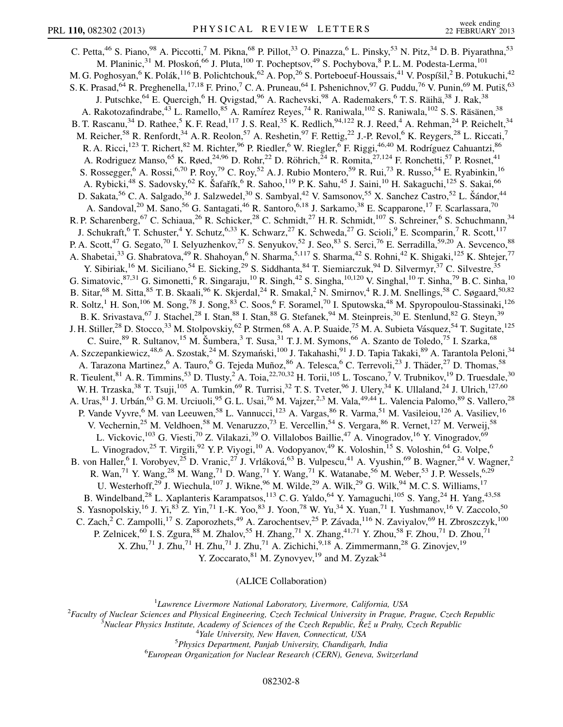C. Petta,<sup>46</sup> S. Piano,<sup>98</sup> A. Piccotti,<sup>7</sup> M. Pikna,<sup>68</sup> P. Pillot,<sup>33</sup> O. Pinazza,<sup>6</sup> L. Pinsky,<sup>53</sup> N. Pitz,<sup>34</sup> D. B. Piyarathna,<sup>53</sup> M. Planinic,<sup>31</sup> M. Płoskoń,<sup>66</sup> J. Pluta,<sup>100</sup> T. Pocheptsov,<sup>49</sup> S. Pochybova,<sup>8</sup> P. L. M. Podesta-Lerma,<sup>101</sup> M. G. Poghosyan,<sup>6</sup> K. Polák,<sup>116</sup> B. Polichtchouk,<sup>62</sup> A. Pop,<sup>26</sup> S. Porteboeuf-Houssais,<sup>41</sup> V. Pospíšil,<sup>2</sup> B. Potukuchi,<sup>42</sup> S. K. Prasad, <sup>64</sup> R. Preghenella, <sup>17,18</sup> F. Prino, <sup>7</sup> C. A. Pruneau, <sup>64</sup> I. Pshenichnov, <sup>97</sup> G. Puddu, <sup>76</sup> V. Punin, <sup>69</sup> M. Putiš, <sup>63</sup> J. Putschke, <sup>64</sup> E. Quercigh, <sup>6</sup> H. Qvigstad, <sup>96</sup> A. Rachevski, <sup>98</sup> A. Rademakers, <sup>6</sup> T. S. Räihä, <sup>38</sup> J. Rak, <sup>38</sup> A. Rakotozafindrabe,<sup>43</sup> L. Ramello,<sup>85</sup> A. Ramírez Reyes,<sup>74</sup> R. Raniwala,<sup>102</sup> S. Raniwala,<sup>102</sup> S. S. Räsänen,<sup>38</sup> B. T. Rascanu,  $34$  D. Rathee,  $5$  K. F. Read,  $117$  J. S. Real,  $35$  K. Redlich,  $94,122$  R. J. Reed,  $4$  A. Rehman,  $24$  P. Reichelt,  $34$ M. Reicher,<sup>58</sup> R. Renfordt,<sup>34</sup> A. R. Reolon,<sup>57</sup> A. Reshetin,<sup>97</sup> F. Rettig,<sup>22</sup> J.-P. Revol,<sup>6</sup> K. Reygers,<sup>28</sup> L. Riccati,<sup>7</sup> R. A. Ricci,<sup>123</sup> T. Richert,<sup>82</sup> M. Richter,<sup>96</sup> P. Riedler,<sup>6</sup> W. Riegler,<sup>6</sup> F. Riggi,<sup>46,40</sup> M. Rodríguez Cahuantzi,<sup>86</sup> A. Rodriguez Manso,<sup>65</sup> K. Røed,<sup>24,96</sup> D. Rohr,<sup>22</sup> D. Röhrich,<sup>24</sup> R. Romita,<sup>27,124</sup> F. Ronchetti,<sup>57</sup> P. Rosnet,<sup>41</sup> S. Rossegger,<sup>6</sup> A. Rossi,<sup>6,70</sup> P. Roy,<sup>79</sup> C. Roy,<sup>52</sup> A. J. Rubio Montero,<sup>59</sup> R. Rui,<sup>73</sup> R. Russo,<sup>54</sup> E. Ryabinkin,<sup>16</sup> A. Rybicki,<sup>48</sup> S. Sadovsky,<sup>62</sup> K. Šafařík,<sup>6</sup> R. Sahoo,<sup>119</sup> P. K. Sahu,<sup>45</sup> J. Saini,<sup>10</sup> H. Sakaguchi,<sup>125</sup> S. Sakai,<sup>66</sup> D. Sakata,<sup>56</sup> C. A. Salgado,<sup>36</sup> J. Salzwedel,<sup>30</sup> S. Sambyal,<sup>42</sup> V. Samsonov,<sup>55</sup> X. Sanchez Castro,<sup>52</sup> L. Šándor,<sup>44</sup> A. Sandoval,<sup>20</sup> M. Sano,<sup>56</sup> G. Santagati,<sup>46</sup> R. Santoro,<sup>6,18</sup> J. Sarkamo,<sup>38</sup> E. Scapparone,<sup>17</sup> F. Scarlassara,<sup>70</sup> R. P. Scharenberg,<sup>67</sup> C. Schiaua,<sup>26</sup> R. Schicker,<sup>28</sup> C. Schmidt,<sup>27</sup> H. R. Schmidt,<sup>107</sup> S. Schreiner,<sup>6</sup> S. Schuchmann,<sup>34</sup> J. Schukraft,<sup>6</sup> T. Schuster,<sup>4</sup> Y. Schutz,<sup>6,33</sup> K. Schwarz,<sup>27</sup> K. Schweda,<sup>27</sup> G. Scioli,<sup>9</sup> E. Scomparin,<sup>7</sup> R. Scott,<sup>117</sup> P. A. Scott,<sup>47</sup> G. Segato,<sup>70</sup> I. Selyuzhenkov,<sup>27</sup> S. Senyukov,<sup>52</sup> J. Seo,<sup>83</sup> S. Serci,<sup>76</sup> E. Serradilla,<sup>59,20</sup> A. Sevcenco,<sup>88</sup> A. Shabetai,<sup>33</sup> G. Shabratova,<sup>49</sup> R. Shahoyan,<sup>6</sup> N. Sharma,<sup>5,117</sup> S. Sharma,<sup>42</sup> S. Rohni,<sup>42</sup> K. Shigaki,<sup>125</sup> K. Shtejer,<sup>77</sup> Y. Sibiriak,<sup>16</sup> M. Siciliano,<sup>54</sup> E. Sicking,<sup>29</sup> S. Siddhanta,<sup>84</sup> T. Siemiarczuk,<sup>94</sup> D. Silvermyr,<sup>37</sup> C. Silvestre,<sup>35</sup> G. Simatovic,  $87,31$  G. Simonetti,  $6$  R. Singaraju,  $10$  R. Singh,  $42$  S. Singha,  $10,120$  V. Singhal,  $10$  T. Sinha,  $79$  B. C. Sinha,  $10$ B. Sitar,<sup>68</sup> M. Sitta,<sup>85</sup> T. B. Skaali,<sup>96</sup> K. Skjerdal,<sup>24</sup> R. Smakal,<sup>2</sup> N. Smirnov,<sup>4</sup> R. J. M. Snellings,<sup>58</sup> C. Søgaard,<sup>50,82</sup> R. Soltz,<sup>1</sup> H. Son,<sup>106</sup> M. Song,<sup>78</sup> J. Song,<sup>83</sup> C. Soos,<sup>6</sup> F. Soramel,<sup>70</sup> I. Sputowska,<sup>48</sup> M. Spyropoulou-Stassinaki,<sup>126</sup> B. K. Srivastava, <sup>67</sup> J. Stachel, <sup>28</sup> I. Stan, <sup>88</sup> I. Stan, <sup>88</sup> G. Stefanek, <sup>94</sup> M. Steinpreis, <sup>30</sup> E. Stenlund, <sup>82</sup> G. Steyn, <sup>39</sup> J. H. Stiller,<sup>28</sup> D. Stocco,<sup>33</sup> M. Stolpovskiy,<sup>62</sup> P. Strmen,<sup>68</sup> A. A. P. Suaide,<sup>75</sup> M. A. Subieta Vásquez,<sup>54</sup> T. Sugitate,<sup>125</sup> C. Suire,<sup>89</sup> R. Sultanov,<sup>15</sup> M. Šumbera,<sup>3</sup> T. Susa,<sup>31</sup> T. J. M. Symons,<sup>66</sup> A. Szanto de Toledo,<sup>75</sup> I. Szarka,<sup>68</sup> A. Szczepankiewicz,<sup>48,6</sup> A. Szostak,<sup>24</sup> M. Szymański,<sup>100</sup> J. Takahashi,<sup>91</sup> J.D. Tapia Takaki,<sup>89</sup> A. Tarantola Peloni,<sup>34</sup> A. Tarazona Martinez,<sup>6</sup> A. Tauro,<sup>6</sup> G. Tejeda Muñoz,<sup>86</sup> A. Telesca,<sup>6</sup> C. Terrevoli,<sup>23</sup> J. Thäder,<sup>27</sup> D. Thomas,<sup>58</sup> R. Tieulent, <sup>81</sup> A. R. Timmins, <sup>53</sup> D. Tlusty, <sup>2</sup> A. Toia, <sup>22,70,32</sup> H. Torii, <sup>105</sup> L. Toscano, <sup>7</sup> V. Trubnikov, <sup>19</sup> D. Truesdale, <sup>30</sup> W. H. Trzaska,  $^{38}$  T. Tsuji,  $^{105}$  A. Tumkin,  $^{69}$  R. Turrisi,  $^{32}$  T. S. Tveter,  $^{96}$  J. Ulery,  $^{34}$  K. Ullaland,  $^{24}$  J. Ulrich,  $^{127,60}$ A. Uras, <sup>81</sup> J. Urbán, <sup>63</sup> G. M. Urciuoli, <sup>95</sup> G. L. Usai, <sup>76</sup> M. Vajzer, <sup>2,3</sup> M. Vala, <sup>49,44</sup> L. Valencia Palomo, <sup>89</sup> S. Vallero, <sup>28</sup> P. Vande Vyvre,<sup>6</sup> M. van Leeuwen,<sup>58</sup> L. Vannucci,<sup>123</sup> A. Vargas,<sup>86</sup> R. Varma,<sup>51</sup> M. Vasileiou,<sup>126</sup> A. Vasiliev,<sup>16</sup> V. Vechernin,<sup>25</sup> M. Veldhoen,<sup>58</sup> M. Venaruzzo,<sup>73</sup> E. Vercellin,<sup>54</sup> S. Vergara,<sup>86</sup> R. Vernet,<sup>127</sup> M. Verweij,<sup>58</sup> L. Vickovic, <sup>103</sup> G. Viesti, <sup>70</sup> Z. Vilakazi, <sup>39</sup> O. Villalobos Baillie, <sup>47</sup> A. Vinogradov, <sup>16</sup> Y. Vinogradov, <sup>69</sup> L. Vinogradov,<sup>25</sup> T. Virgili,<sup>92</sup> Y. P. Viyogi,<sup>10</sup> A. Vodopyanov,<sup>49</sup> K. Voloshin,<sup>15</sup> S. Voloshin,<sup>64</sup> G. Volpe,<sup>6</sup> B. von Haller, <sup>6</sup> I. Vorobyev, <sup>25</sup> D. Vranic, <sup>27</sup> J. Vrláková, <sup>63</sup> B. Vulpescu, <sup>41</sup> A. Vyushin, <sup>69</sup> B. Wagner, <sup>24</sup> V. Wagner, <sup>2</sup> R. Wan,<sup>71</sup> Y. Wang,<sup>28</sup> M. Wang,<sup>71</sup> D. Wang,<sup>71</sup> Y. Wang,<sup>71</sup> K. Watanabe,<sup>56</sup> M. Weber,<sup>53</sup> J. P. Wessels,<sup>6,29</sup> U. Westerhoff,<sup>29</sup> J. Wiechula,<sup>107</sup> J. Wikne,<sup>96</sup> M. Wilde,<sup>29</sup> A. Wilk,<sup>29</sup> G. Wilk,<sup>94</sup> M. C. S. Williams,<sup>17</sup> B. Windelband,<sup>28</sup> L. Xaplanteris Karampatsos,<sup>113</sup> C. G. Yaldo,<sup>64</sup> Y. Yamaguchi,<sup>105</sup> S. Yang,<sup>24</sup> H. Yang,<sup>43,58</sup> S. Yasnopolskiy,<sup>16</sup> J. Yi,<sup>83</sup> Z. Yin,<sup>71</sup> I.-K. Yoo,<sup>83</sup> J. Yoon,<sup>78</sup> W. Yu,<sup>34</sup> X. Yuan,<sup>71</sup> I. Yushmanov,<sup>16</sup> V. Zaccolo,<sup>50</sup> C. Zach,<sup>2</sup> C. Zampolli,<sup>17</sup> S. Zaporozhets,<sup>49</sup> A. Zarochentsev,<sup>25</sup> P. Závada,<sup>116</sup> N. Zaviyalov,<sup>69</sup> H. Zbroszczyk,<sup>100</sup> P. Zelnicek,<sup>60</sup> I. S. Zgura,<sup>88</sup> M. Zhalov,<sup>55</sup> H. Zhang,<sup>71</sup> X. Zhang,<sup>41,71</sup> Y. Zhou,<sup>58</sup> F. Zhou,<sup>71</sup> D. Zhou,<sup>71</sup> X. Zhu,<sup>71</sup> J. Zhu,<sup>71</sup> H. Zhu,<sup>71</sup> J. Zhu,<sup>71</sup> A. Zichichi,<sup>9,18</sup> A. Zimmermann,<sup>28</sup> G. Zinovjev,<sup>19</sup> Y. Zoccarato,  $81$  M. Zynovyev,  $19$  and M. Zyzak $34$ 

(ALICE Collaboration)

<sup>1</sup>Lawrence Livermore National Laboratory, Livermore, California, USA<br><sup>2</sup>Eaculty of Nuclear Sciences and Physical Engineering, Czech Technical University in Prague

 $F$ aculty of Nuclear Sciences and Physical Engineering, Czech Technical University in Prague, Prague, Czech Republic

 ${}^{3}$ Nuclear Physics Institute, Academy of Sciences of the Czech Republic, Řež $u$  Prahy, Czech Republic

 $4$ Yale University, New Haven, Connecticut, USA

<sup>5</sup>Physics Department, Panjab University, Chandigarh, India

 ${}^{6}$ European Organization for Nuclear Research (CERN), Geneva, Switzerland

082302-8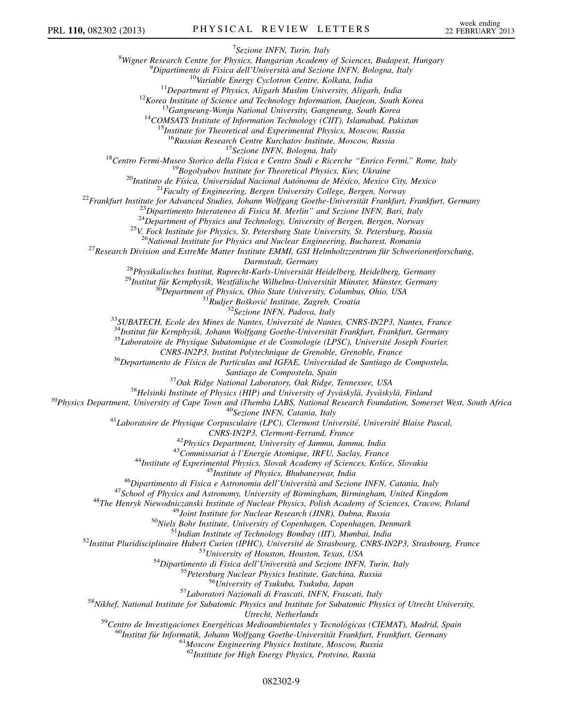<sup>7</sup>Sezione INFN, Turin, Italy Sezione INFN, Turin, Italy<br><sup>8</sup>Wigner Besearch Centre for Physics, Hungarian Academy

Wigner Research Centre for Physics, Hungarian Academy of Sciences, Budapest, Hungary<br><sup>9</sup> Dinastimento di Fisica dell'Università and Sezione INFN, Bologna, Italy

<sup>9</sup>Dipartimento di Fisica dell'Università and Sezione INFN, Bologna, Italy<br><sup>10</sup>Variable Energy Cyclotron Centre, Kolkata, India<br><sup>11</sup>Department of Physics, Aligarh Muslim University, Aligarh, India<br><sup>12</sup>Korea Institute of S

<sup>16</sup>Russian Research Centre Kurchatov Institute, Moscow, Russia<br><sup>17</sup>Sezione INFN, Bologna, Italy<br><sup>18</sup>Centro Fermi-Museo Storico della Fisica e Centro Studi e Ricerche "Enrico Fermi," Rome, Italy<br><sup>18</sup>Degalyubov Institute f

<sup>25</sup>V. Fock Institute for Physics, St. Petersburg State University, St. Petersburg, Russia<br><sup>26</sup>National Institute for Physics and Nuclear Engineering, Bucharest, Romania<sup><br><sup>27</sup>Research Division and ExtreMe Matter Institute</sup>

Darmstadt, Germany<br><sup>28</sup>Physikalisches Institut, Ruprecht-Karls-Universität Heidelberg, Heidelberg, Germany<br><sup>29</sup>Institut für Kernphysik, Westfälische Wilhelms-Universität Münster, Münster, Germany<br><sup>30</sup>Department of Physics,

CNRS-IN2P3, Institut Polytechnique de Grenoble, Grenoble, France <sup>36</sup>Departamento de Fı´sica de Partı´culas and IGFAE, Universidad de Santiago de Compostela,

<sup>37</sup>Oak Ridge National Laboratory, Oak Ridge, Tennessee, USA<br><sup>38</sup>Helsinki Institute of Physics (HIP) and University of Jyväskylä, Jyväskylä, Finland<br><sup>39</sup>Physics Department, University of Cape Town and iThemba LABS, Nationa

CNRS-IN2P3, Clermont-Ferrand, France<br>
<sup>42</sup>Physics Department, University of Jammu, Janmu, India<br>
<sup>43</sup>Commissariat à l'Energie Atomique, IRFU, Saclay, France<br>
<sup>44</sup>Institute of Experimental Physics, Slovak Academy of Science

Utrecht, Netherlands<br><sup>59</sup>Centro de Investigaciones Energéticas Medioambientales y Tecnológicas (CIEMAT), Madrid, Spain<br><sup>60</sup>Institut für Informatik, Johann Wolfgang Goethe-Universität Frankfurt, Frankfurt, Germany<br><sup>61</sup>Mosco

<sup>62</sup>Institute for High Energy Physics, Protvino, Russia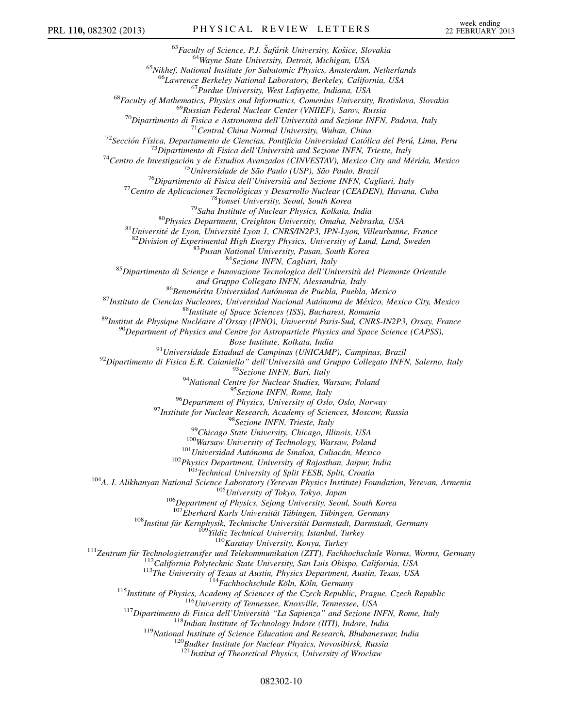<sup>63</sup>Faculty of Science, P.J. Šafárik University, Košice, Slovakia<br><sup>64</sup>Wayne State University, Detroit, Michigan, USA<br><sup>65</sup>Nikhef, National Institute for Subatomic Physics, Amsterdam, Netherlands<br><sup>66</sup>Lawrence Berkeley Natio <sup>66</sup>Lawrence Berkeley National Laboratory, Berkeley, California, USA<br>
<sup>68</sup>Faculty of Mathematics, Physics and Informatics, Comenius University, Bratislava, Slovakia<br>
<sup>69</sup>Raculty of Mathematics, Physics and Informatics, Co and Gruppo Collegato INFN, Alessandria, Italy<br><sup>86</sup>Benemérita Universidad Autónoma de Puebla, Puebla, Mexico<br><sup>87</sup>Instituto de Ciencias Nucleares, Universidad Nacional Autónoma de México, Mexico City, Mexico<br><sup>89</sup>Institut de Bose Institute, Kolkata, India<br><sup>91</sup>Universidade Estadual de Campinas (UNICAMP), Campinas, Brazil<br><sup>92</sup>Dipartimento di Fisica E.R. Caianiello" dell'Università and Gruppo Collegato INFN, Salerno, Italy<br><sup>93</sup>Sezione INFN, Bari, <sup>107</sup> Eberhard Karls Universität Tübingen, Tübingen, Germany<br><sup>107</sup> Eberhard Karls Universität Darmstadt, Darmstadt, Germany<br><sup>107</sup> Ethingen, Technicch Universität Darmstadt, Darmstadt, Germany<br><sup>102</sup> Ethince is the property  $121$ Institut of Theoretical Physics, University of Wroclaw